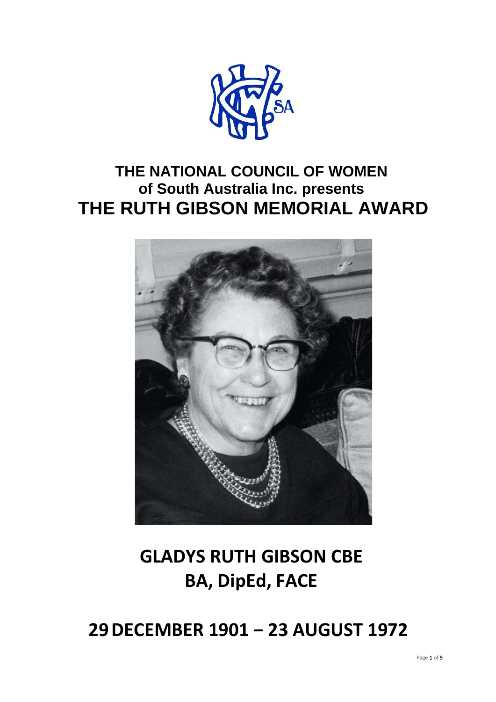

## **THE NATIONAL COUNCIL OF WOMEN of South Australia Inc. presents THE RUTH GIBSON MEMORIAL AWARD**



# **GLADYS RUTH GIBSON CBE BA, DipEd, FACE**

## **29DECEMBER 1901 − 23 AUGUST 1972**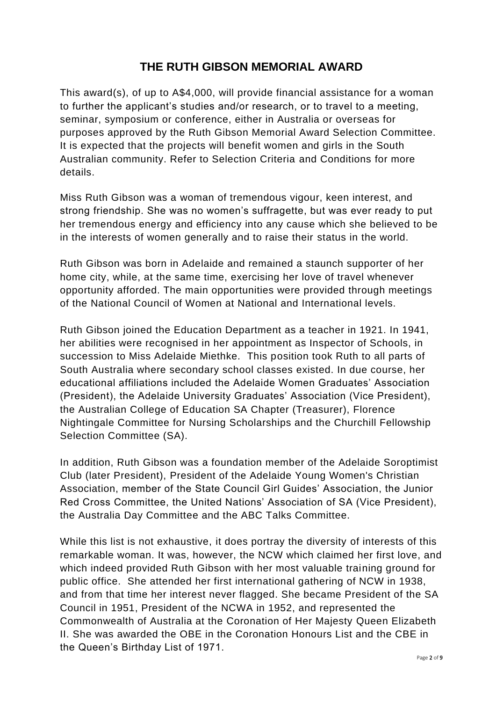This award(s), of up to A\$4,000, will provide financial assistance for a woman to further the applicant's studies and/or research, or to travel to a meeting, seminar, symposium or conference, either in Australia or overseas for purposes approved by the Ruth Gibson Memorial Award Selection Committee. It is expected that the projects will benefit women and girls in the South Australian community. Refer to Selection Criteria and Conditions for more details.

Miss Ruth Gibson was a woman of tremendous vigour, keen interest, and strong friendship. She was no women's suffragette, but was ever ready to put her tremendous energy and efficiency into any cause which she believed to be in the interests of women generally and to raise their status in the world.

Ruth Gibson was born in Adelaide and remained a staunch supporter of her home city, while, at the same time, exercising her love of travel whenever opportunity afforded. The main opportunities were provided through meetings of the National Council of Women at National and International levels.

Ruth Gibson joined the Education Department as a teacher in 1921. In 1941, her abilities were recognised in her appointment as Inspector of Schools, in succession to Miss Adelaide Miethke. This position took Ruth to all parts of South Australia where secondary school classes existed. In due course, her educational affiliations included the Adelaide Women Graduates' Association (President), the Adelaide University Graduates' Association (Vice President), the Australian College of Education SA Chapter (Treasurer), Florence Nightingale Committee for Nursing Scholarships and the Churchill Fellowship Selection Committee (SA).

In addition, Ruth Gibson was a foundation member of the Adelaide Soroptimist Club (later President), President of the Adelaide Young Women's Christian Association, member of the State Council Girl Guides' Association, the Junior Red Cross Committee, the United Nations' Association of SA (Vice President), the Australia Day Committee and the ABC Talks Committee.

While this list is not exhaustive, it does portray the diversity of interests of this remarkable woman. It was, however, the NCW which claimed her first love, and which indeed provided Ruth Gibson with her most valuable training ground for public office. She attended her first international gathering of NCW in 1938, and from that time her interest never flagged. She became President of the SA Council in 1951, President of the NCWA in 1952, and represented the Commonwealth of Australia at the Coronation of Her Majesty Queen Elizabeth II. She was awarded the OBE in the Coronation Honours List and the CBE in the Queen's Birthday List of 1971.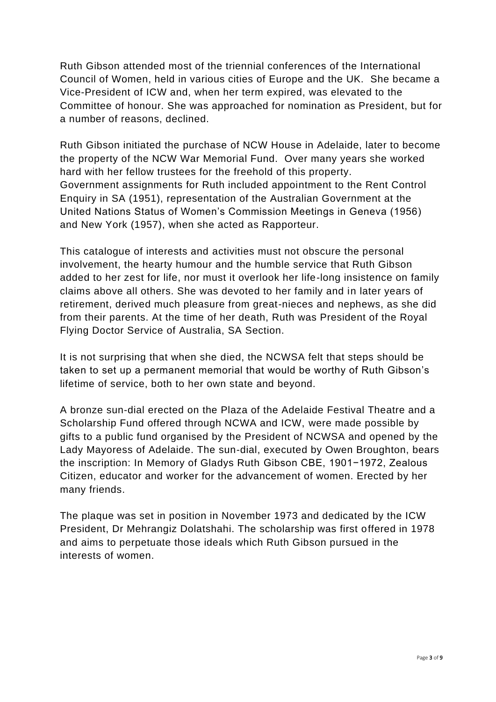Ruth Gibson attended most of the triennial conferences of the International Council of Women, held in various cities of Europe and the UK. She became a Vice-President of ICW and, when her term expired, was elevated to the Committee of honour. She was approached for nomination as President, but for a number of reasons, declined.

Ruth Gibson initiated the purchase of NCW House in Adelaide, later to become the property of the NCW War Memorial Fund. Over many years she worked hard with her fellow trustees for the freehold of this property. Government assignments for Ruth included appointment to the Rent Control Enquiry in SA (1951), representation of the Australian Government at the United Nations Status of Women's Commission Meetings in Geneva (1956) and New York (1957), when she acted as Rapporteur.

This catalogue of interests and activities must not obscure the personal involvement, the hearty humour and the humble service that Ruth Gibson added to her zest for life, nor must it overlook her life-long insistence on family claims above all others. She was devoted to her family and in later years of retirement, derived much pleasure from great-nieces and nephews, as she did from their parents. At the time of her death, Ruth was President of the Royal Flying Doctor Service of Australia, SA Section.

It is not surprising that when she died, the NCWSA felt that steps should be taken to set up a permanent memorial that would be worthy of Ruth Gibson's lifetime of service, both to her own state and beyond.

A bronze sun-dial erected on the Plaza of the Adelaide Festival Theatre and a Scholarship Fund offered through NCWA and ICW, were made possible by gifts to a public fund organised by the President of NCWSA and opened by the Lady Mayoress of Adelaide. The sun-dial, executed by Owen Broughton, bears the inscription: In Memory of Gladys Ruth Gibson CBE, 1901−1972, Zealous Citizen, educator and worker for the advancement of women. Erected by her many friends.

The plaque was set in position in November 1973 and dedicated by the ICW President, Dr Mehrangiz Dolatshahi. The scholarship was first offered in 1978 and aims to perpetuate those ideals which Ruth Gibson pursued in the interests of women.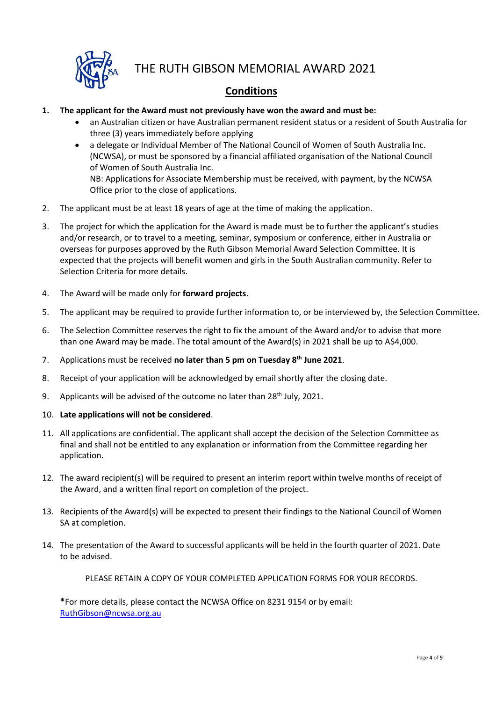

### **Conditions**

- **1. The applicant for the Award must not previously have won the award and must be:** 
	- an Australian citizen or have Australian permanent resident status or a resident of South Australia for three (3) years immediately before applying
	- a delegate or Individual Member of The National Council of Women of South Australia Inc. (NCWSA), or must be sponsored by a financial affiliated organisation of the National Council of Women of South Australia Inc. NB: Applications for Associate Membership must be received, with payment, by the NCWSA Office prior to the close of applications.
- 2. The applicant must be at least 18 years of age at the time of making the application.
- 3. The project for which the application for the Award is made must be to further the applicant's studies and/or research, or to travel to a meeting, seminar, symposium or conference, either in Australia or overseas for purposes approved by the Ruth Gibson Memorial Award Selection Committee. It is expected that the projects will benefit women and girls in the South Australian community. Refer to Selection Criteria for more details.
- 4. The Award will be made only for **forward projects**.
- 5. The applicant may be required to provide further information to, or be interviewed by, the Selection Committee.
- 6. The Selection Committee reserves the right to fix the amount of the Award and/or to advise that more than one Award may be made. The total amount of the Award(s) in 2021 shall be up to A\$4,000.
- 7. Applications must be received **no later than 5 pm on Tuesday 8th June 2021**.
- 8. Receipt of your application will be acknowledged by email shortly after the closing date.
- 9. Applicants will be advised of the outcome no later than 28<sup>th</sup> July, 2021.
- 10. **Late applications will not be considered**.
- 11. All applications are confidential. The applicant shall accept the decision of the Selection Committee as final and shall not be entitled to any explanation or information from the Committee regarding her application.
- 12. The award recipient(s) will be required to present an interim report within twelve months of receipt of the Award, and a written final report on completion of the project.
- 13. Recipients of the Award(s) will be expected to present their findings to the National Council of Women SA at completion.
- 14. The presentation of the Award to successful applicants will be held in the fourth quarter of 2021. Date to be advised.

PLEASE RETAIN A COPY OF YOUR COMPLETED APPLICATION FORMS FOR YOUR RECORDS.

**\***For more details, please contact the NCWSA Office on 8231 9154 or by email: [RuthGibson@ncwsa.org.au](mailto:RuthGibson@ncwsa.org.au)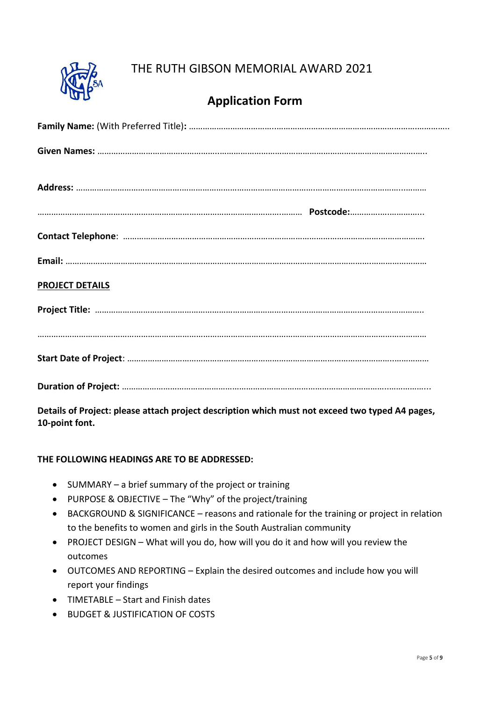

## **Application Form**

| <b>PROJECT DETAILS</b> |
|------------------------|
|                        |
|                        |
|                        |
|                        |

**Details of Project: please attach project description which must not exceed two typed A4 pages, 10-point font.**

#### **THE FOLLOWING HEADINGS ARE TO BE ADDRESSED:**

- SUMMARY a brief summary of the project or training
- PURPOSE & OBJECTIVE The "Why" of the project/training
- BACKGROUND & SIGNIFICANCE reasons and rationale for the training or project in relation to the benefits to women and girls in the South Australian community
- PROJECT DESIGN What will you do, how will you do it and how will you review the outcomes
- OUTCOMES AND REPORTING Explain the desired outcomes and include how you will report your findings
- TIMETABLE Start and Finish dates
- BUDGET & JUSTIFICATION OF COSTS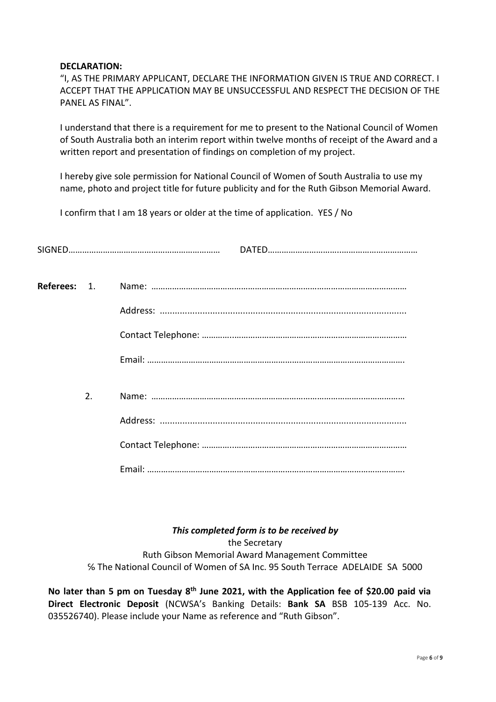#### **DECLARATION:**

"I, AS THE PRIMARY APPLICANT, DECLARE THE INFORMATION GIVEN IS TRUE AND CORRECT. I ACCEPT THAT THE APPLICATION MAY BE UNSUCCESSFUL AND RESPECT THE DECISION OF THE PANEL AS FINAL".

I understand that there is a requirement for me to present to the National Council of Women of South Australia both an interim report within twelve months of receipt of the Award and a written report and presentation of findings on completion of my project.

I hereby give sole permission for National Council of Women of South Australia to use my name, photo and project title for future publicity and for the Ruth Gibson Memorial Award.

I confirm that I am 18 years or older at the time of application. YES / No

| 2. |  |
|----|--|
|    |  |
|    |  |
|    |  |
|    |  |

*This completed form is to be received by* the Secretary Ruth Gibson Memorial Award Management Committee ℅ The National Council of Women of SA Inc. 95 South Terrace ADELAIDE SA 5000

**No later than 5 pm on Tuesday 8th June 2021, with the Application fee of \$20.00 paid via Direct Electronic Deposit** (NCWSA's Banking Details: **Bank SA** BSB 105-139 Acc. No. 035526740). Please include your Name as reference and "Ruth Gibson".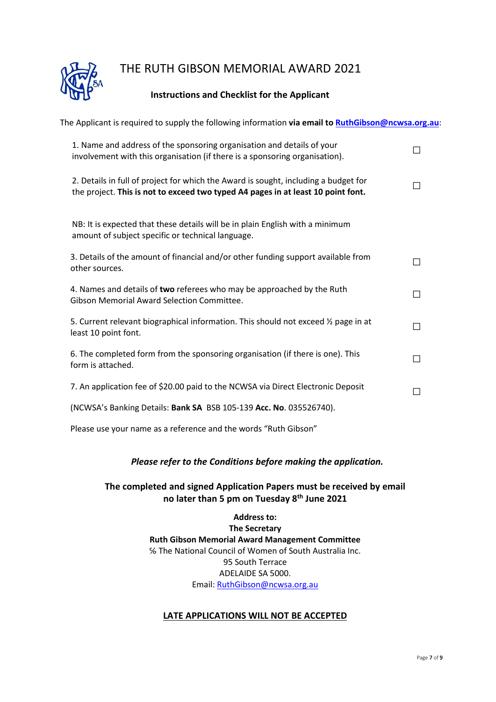

#### **Instructions and Checklist for the Applicant**

| The Applicant is required to supply the following information via email to RuthGibson@ncwsa.org.au:                                                                     |                          |
|-------------------------------------------------------------------------------------------------------------------------------------------------------------------------|--------------------------|
| 1. Name and address of the sponsoring organisation and details of your<br>involvement with this organisation (if there is a sponsoring organisation).                   | $\overline{\phantom{0}}$ |
| 2. Details in full of project for which the Award is sought, including a budget for<br>the project. This is not to exceed two typed A4 pages in at least 10 point font. | П                        |
| NB: It is expected that these details will be in plain English with a minimum<br>amount of subject specific or technical language.                                      |                          |
| 3. Details of the amount of financial and/or other funding support available from<br>other sources.                                                                     | П                        |
| 4. Names and details of two referees who may be approached by the Ruth<br><b>Gibson Memorial Award Selection Committee.</b>                                             | П                        |
| 5. Current relevant biographical information. This should not exceed $\frac{1}{2}$ page in at<br>least 10 point font.                                                   | П                        |
| 6. The completed form from the sponsoring organisation (if there is one). This<br>form is attached.                                                                     | П                        |
| 7. An application fee of \$20.00 paid to the NCWSA via Direct Electronic Deposit                                                                                        | П                        |
| (NCWSA's Banking Details: Bank SA BSB 105-139 Acc. No. 035526740).                                                                                                      |                          |

Please use your name as a reference and the words "Ruth Gibson"

#### *Please refer to the Conditions before making the application.*

#### **The completed and signed Application Papers must be received by email no later than 5 pm on Tuesday 8th June 2021**

**Address to: The Secretary Ruth Gibson Memorial Award Management Committee** ℅ The National Council of Women of South Australia Inc. 95 South Terrace ADELAIDE SA 5000. Email[: RuthGibson@ncwsa.org.au](mailto:RuthGibson@ncwsa.org.au)

#### **LATE APPLICATIONS WILL NOT BE ACCEPTED**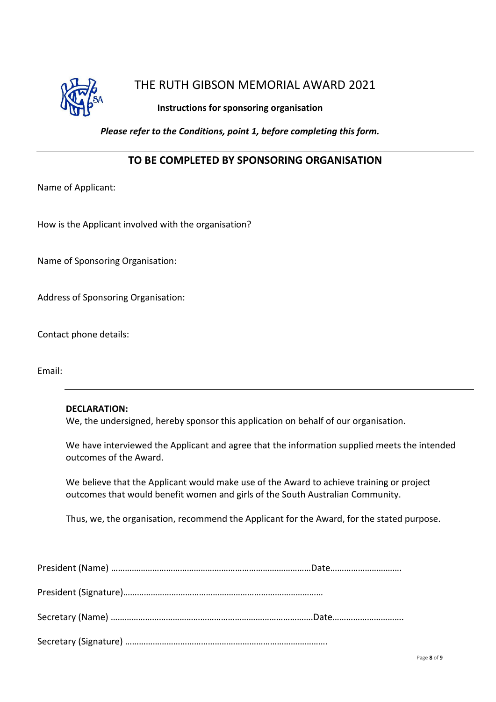

#### **Instructions for sponsoring organisation**

*Please refer to the Conditions, point 1, before completing this form.*

#### **TO BE COMPLETED BY SPONSORING ORGANISATION**

Name of Applicant:

How is the Applicant involved with the organisation?

Name of Sponsoring Organisation:

Address of Sponsoring Organisation:

Contact phone details:

Email:

#### **DECLARATION:**

We, the undersigned, hereby sponsor this application on behalf of our organisation.

We have interviewed the Applicant and agree that the information supplied meets the intended outcomes of the Award.

We believe that the Applicant would make use of the Award to achieve training or project outcomes that would benefit women and girls of the South Australian Community.

Thus, we, the organisation, recommend the Applicant for the Award, for the stated purpose.